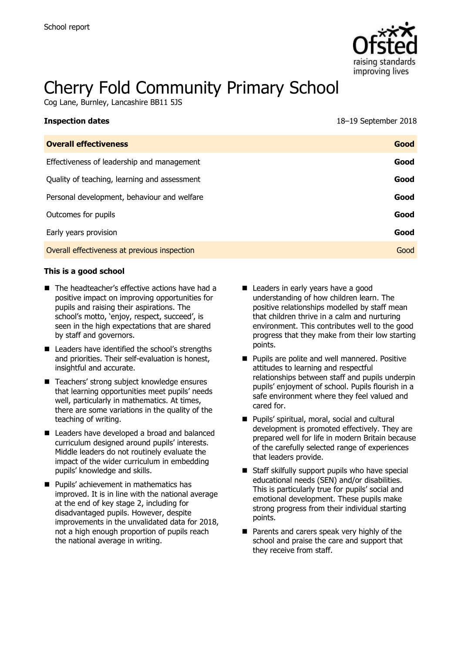

# Cherry Fold Community Primary School

Cog Lane, Burnley, Lancashire BB11 5JS

| <b>Inspection dates</b>                      | 18–19 September 2018 |
|----------------------------------------------|----------------------|
| <b>Overall effectiveness</b>                 | Good                 |
| Effectiveness of leadership and management   | Good                 |
| Quality of teaching, learning and assessment | Good                 |
| Personal development, behaviour and welfare  | Good                 |
| Outcomes for pupils                          | Good                 |
| Early years provision                        | Good                 |
| Overall effectiveness at previous inspection | Good                 |

#### **This is a good school**

- The headteacher's effective actions have had a positive impact on improving opportunities for pupils and raising their aspirations. The school's motto, 'enjoy, respect, succeed', is seen in the high expectations that are shared by staff and governors.
- Leaders have identified the school's strengths and priorities. Their self-evaluation is honest, insightful and accurate.
- Teachers' strong subject knowledge ensures that learning opportunities meet pupils' needs well, particularly in mathematics. At times, there are some variations in the quality of the teaching of writing.
- Leaders have developed a broad and balanced curriculum designed around pupils' interests. Middle leaders do not routinely evaluate the impact of the wider curriculum in embedding pupils' knowledge and skills.
- **Pupils' achievement in mathematics has** improved. It is in line with the national average at the end of key stage 2, including for disadvantaged pupils. However, despite improvements in the unvalidated data for 2018, not a high enough proportion of pupils reach the national average in writing.
- Leaders in early years have a good understanding of how children learn. The positive relationships modelled by staff mean that children thrive in a calm and nurturing environment. This contributes well to the good progress that they make from their low starting points.
- **Pupils are polite and well mannered. Positive** attitudes to learning and respectful relationships between staff and pupils underpin pupils' enjoyment of school. Pupils flourish in a safe environment where they feel valued and cared for.
- **Pupils' spiritual, moral, social and cultural** development is promoted effectively. They are prepared well for life in modern Britain because of the carefully selected range of experiences that leaders provide.
- Staff skilfully support pupils who have special educational needs (SEN) and/or disabilities. This is particularly true for pupils' social and emotional development. These pupils make strong progress from their individual starting points.
- Parents and carers speak very highly of the school and praise the care and support that they receive from staff.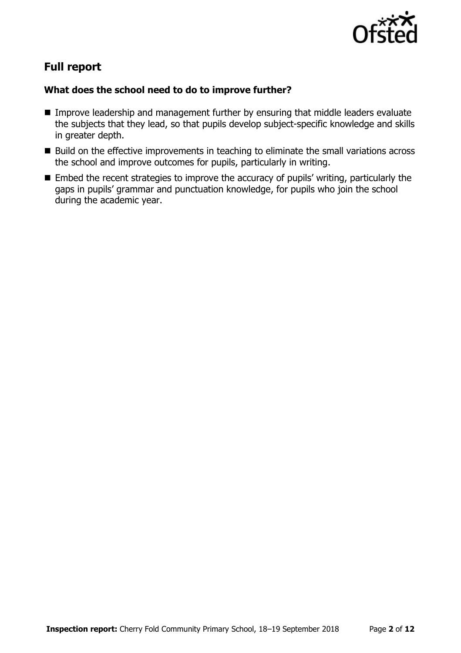

# **Full report**

### **What does the school need to do to improve further?**

- **IMPROVE LEADERSHIP and management further by ensuring that middle leaders evaluate** the subjects that they lead, so that pupils develop subject-specific knowledge and skills in greater depth.
- Build on the effective improvements in teaching to eliminate the small variations across the school and improve outcomes for pupils, particularly in writing.
- Embed the recent strategies to improve the accuracy of pupils' writing, particularly the gaps in pupils' grammar and punctuation knowledge, for pupils who join the school during the academic year.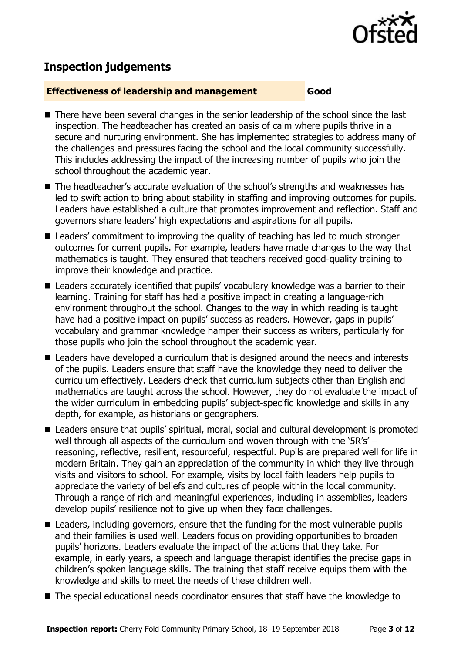

# **Inspection judgements**

#### **Effectiveness of leadership and management Good**

- There have been several changes in the senior leadership of the school since the last inspection. The headteacher has created an oasis of calm where pupils thrive in a secure and nurturing environment. She has implemented strategies to address many of the challenges and pressures facing the school and the local community successfully. This includes addressing the impact of the increasing number of pupils who join the school throughout the academic year.
- The headteacher's accurate evaluation of the school's strengths and weaknesses has led to swift action to bring about stability in staffing and improving outcomes for pupils. Leaders have established a culture that promotes improvement and reflection. Staff and governors share leaders' high expectations and aspirations for all pupils.
- Leaders' commitment to improving the quality of teaching has led to much stronger outcomes for current pupils. For example, leaders have made changes to the way that mathematics is taught. They ensured that teachers received good-quality training to improve their knowledge and practice.
- Leaders accurately identified that pupils' vocabulary knowledge was a barrier to their learning. Training for staff has had a positive impact in creating a language-rich environment throughout the school. Changes to the way in which reading is taught have had a positive impact on pupils' success as readers. However, gaps in pupils' vocabulary and grammar knowledge hamper their success as writers, particularly for those pupils who join the school throughout the academic year.
- Leaders have developed a curriculum that is designed around the needs and interests of the pupils. Leaders ensure that staff have the knowledge they need to deliver the curriculum effectively. Leaders check that curriculum subjects other than English and mathematics are taught across the school. However, they do not evaluate the impact of the wider curriculum in embedding pupils' subject-specific knowledge and skills in any depth, for example, as historians or geographers.
- Leaders ensure that pupils' spiritual, moral, social and cultural development is promoted well through all aspects of the curriculum and woven through with the '5R's' reasoning, reflective, resilient, resourceful, respectful. Pupils are prepared well for life in modern Britain. They gain an appreciation of the community in which they live through visits and visitors to school. For example, visits by local faith leaders help pupils to appreciate the variety of beliefs and cultures of people within the local community. Through a range of rich and meaningful experiences, including in assemblies, leaders develop pupils' resilience not to give up when they face challenges.
- Leaders, including governors, ensure that the funding for the most vulnerable pupils and their families is used well. Leaders focus on providing opportunities to broaden pupils' horizons. Leaders evaluate the impact of the actions that they take. For example, in early years, a speech and language therapist identifies the precise gaps in children's spoken language skills. The training that staff receive equips them with the knowledge and skills to meet the needs of these children well.
- The special educational needs coordinator ensures that staff have the knowledge to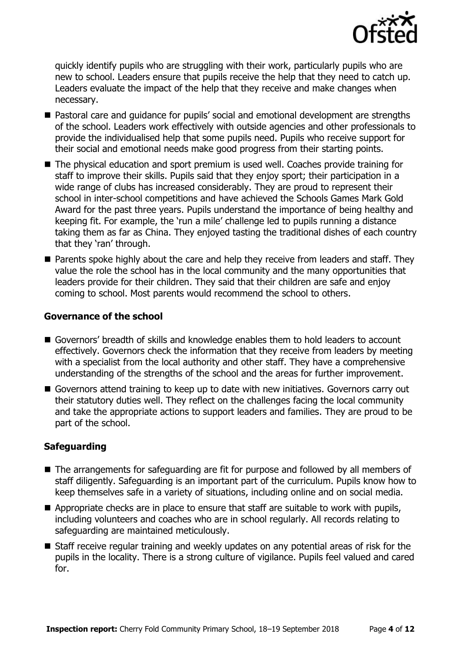

quickly identify pupils who are struggling with their work, particularly pupils who are new to school. Leaders ensure that pupils receive the help that they need to catch up. Leaders evaluate the impact of the help that they receive and make changes when necessary.

- Pastoral care and quidance for pupils' social and emotional development are strengths of the school. Leaders work effectively with outside agencies and other professionals to provide the individualised help that some pupils need. Pupils who receive support for their social and emotional needs make good progress from their starting points.
- The physical education and sport premium is used well. Coaches provide training for staff to improve their skills. Pupils said that they enjoy sport; their participation in a wide range of clubs has increased considerably. They are proud to represent their school in inter-school competitions and have achieved the Schools Games Mark Gold Award for the past three years. Pupils understand the importance of being healthy and keeping fit. For example, the 'run a mile' challenge led to pupils running a distance taking them as far as China. They enjoyed tasting the traditional dishes of each country that they 'ran' through.
- **Parents spoke highly about the care and help they receive from leaders and staff. They** value the role the school has in the local community and the many opportunities that leaders provide for their children. They said that their children are safe and enjoy coming to school. Most parents would recommend the school to others.

#### **Governance of the school**

- Governors' breadth of skills and knowledge enables them to hold leaders to account effectively. Governors check the information that they receive from leaders by meeting with a specialist from the local authority and other staff. They have a comprehensive understanding of the strengths of the school and the areas for further improvement.
- Governors attend training to keep up to date with new initiatives. Governors carry out their statutory duties well. They reflect on the challenges facing the local community and take the appropriate actions to support leaders and families. They are proud to be part of the school.

#### **Safeguarding**

- The arrangements for safeguarding are fit for purpose and followed by all members of staff diligently. Safeguarding is an important part of the curriculum. Pupils know how to keep themselves safe in a variety of situations, including online and on social media.
- Appropriate checks are in place to ensure that staff are suitable to work with pupils, including volunteers and coaches who are in school regularly. All records relating to safeguarding are maintained meticulously.
- Staff receive regular training and weekly updates on any potential areas of risk for the pupils in the locality. There is a strong culture of vigilance. Pupils feel valued and cared for.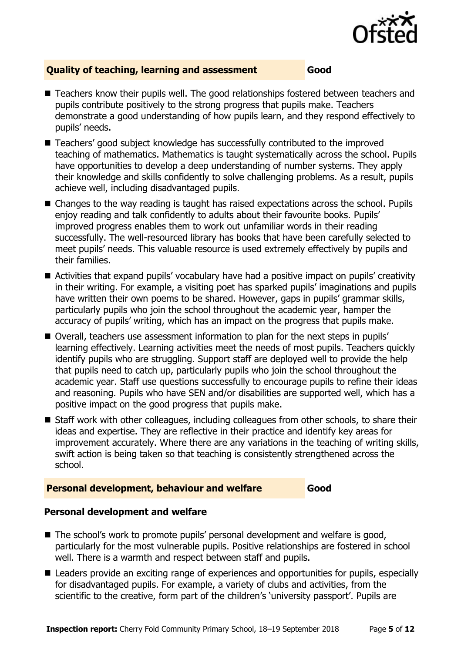

#### **Quality of teaching, learning and assessment Good**

- Teachers know their pupils well. The good relationships fostered between teachers and pupils contribute positively to the strong progress that pupils make. Teachers demonstrate a good understanding of how pupils learn, and they respond effectively to pupils' needs.
- Teachers' good subject knowledge has successfully contributed to the improved teaching of mathematics. Mathematics is taught systematically across the school. Pupils have opportunities to develop a deep understanding of number systems. They apply their knowledge and skills confidently to solve challenging problems. As a result, pupils achieve well, including disadvantaged pupils.
- Changes to the way reading is taught has raised expectations across the school. Pupils enjoy reading and talk confidently to adults about their favourite books. Pupils' improved progress enables them to work out unfamiliar words in their reading successfully. The well-resourced library has books that have been carefully selected to meet pupils' needs. This valuable resource is used extremely effectively by pupils and their families.
- Activities that expand pupils' vocabulary have had a positive impact on pupils' creativity in their writing. For example, a visiting poet has sparked pupils' imaginations and pupils have written their own poems to be shared. However, gaps in pupils' grammar skills, particularly pupils who join the school throughout the academic year, hamper the accuracy of pupils' writing, which has an impact on the progress that pupils make.
- Overall, teachers use assessment information to plan for the next steps in pupils' learning effectively. Learning activities meet the needs of most pupils. Teachers quickly identify pupils who are struggling. Support staff are deployed well to provide the help that pupils need to catch up, particularly pupils who join the school throughout the academic year. Staff use questions successfully to encourage pupils to refine their ideas and reasoning. Pupils who have SEN and/or disabilities are supported well, which has a positive impact on the good progress that pupils make.
- Staff work with other colleagues, including colleagues from other schools, to share their ideas and expertise. They are reflective in their practice and identify key areas for improvement accurately. Where there are any variations in the teaching of writing skills, swift action is being taken so that teaching is consistently strengthened across the school.

#### **Personal development, behaviour and welfare Good**

#### **Personal development and welfare**

- The school's work to promote pupils' personal development and welfare is good, particularly for the most vulnerable pupils. Positive relationships are fostered in school well. There is a warmth and respect between staff and pupils.
- Leaders provide an exciting range of experiences and opportunities for pupils, especially for disadvantaged pupils. For example, a variety of clubs and activities, from the scientific to the creative, form part of the children's 'university passport'. Pupils are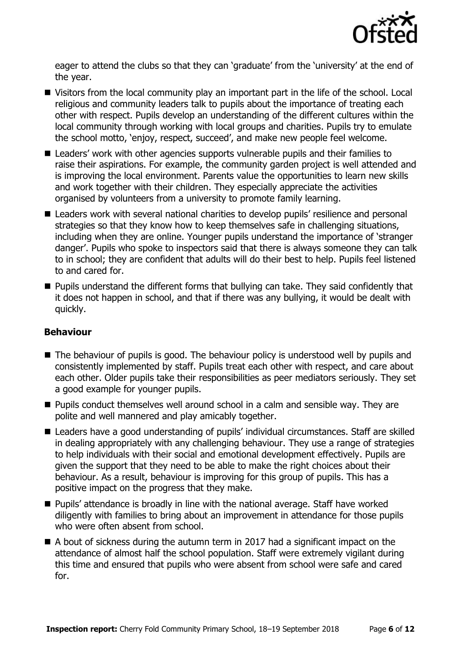

eager to attend the clubs so that they can 'graduate' from the 'university' at the end of the year.

- Visitors from the local community play an important part in the life of the school. Local religious and community leaders talk to pupils about the importance of treating each other with respect. Pupils develop an understanding of the different cultures within the local community through working with local groups and charities. Pupils try to emulate the school motto, 'enjoy, respect, succeed', and make new people feel welcome.
- Leaders' work with other agencies supports vulnerable pupils and their families to raise their aspirations. For example, the community garden project is well attended and is improving the local environment. Parents value the opportunities to learn new skills and work together with their children. They especially appreciate the activities organised by volunteers from a university to promote family learning.
- Leaders work with several national charities to develop pupils' resilience and personal strategies so that they know how to keep themselves safe in challenging situations, including when they are online. Younger pupils understand the importance of 'stranger danger'. Pupils who spoke to inspectors said that there is always someone they can talk to in school; they are confident that adults will do their best to help. Pupils feel listened to and cared for.
- **Pupils understand the different forms that bullying can take. They said confidently that** it does not happen in school, and that if there was any bullying, it would be dealt with quickly.

### **Behaviour**

- The behaviour of pupils is good. The behaviour policy is understood well by pupils and consistently implemented by staff. Pupils treat each other with respect, and care about each other. Older pupils take their responsibilities as peer mediators seriously. They set a good example for younger pupils.
- Pupils conduct themselves well around school in a calm and sensible way. They are polite and well mannered and play amicably together.
- Leaders have a good understanding of pupils' individual circumstances. Staff are skilled in dealing appropriately with any challenging behaviour. They use a range of strategies to help individuals with their social and emotional development effectively. Pupils are given the support that they need to be able to make the right choices about their behaviour. As a result, behaviour is improving for this group of pupils. This has a positive impact on the progress that they make.
- Pupils' attendance is broadly in line with the national average. Staff have worked diligently with families to bring about an improvement in attendance for those pupils who were often absent from school.
- A bout of sickness during the autumn term in 2017 had a significant impact on the attendance of almost half the school population. Staff were extremely vigilant during this time and ensured that pupils who were absent from school were safe and cared for.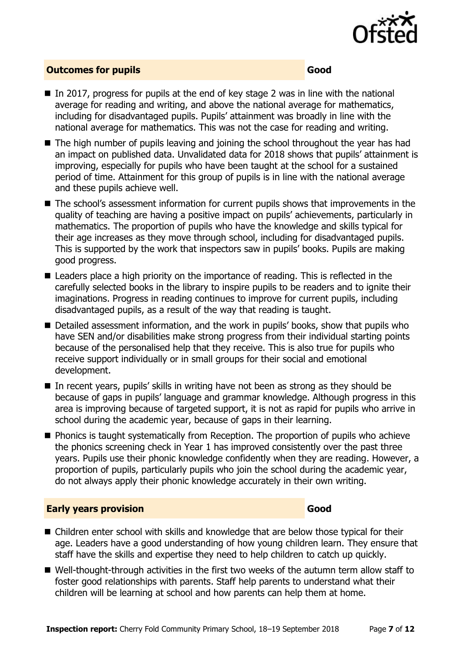

#### **Outcomes for pupils Good**

- $\blacksquare$  In 2017, progress for pupils at the end of key stage 2 was in line with the national average for reading and writing, and above the national average for mathematics, including for disadvantaged pupils. Pupils' attainment was broadly in line with the national average for mathematics. This was not the case for reading and writing.
- The high number of pupils leaving and joining the school throughout the year has had an impact on published data. Unvalidated data for 2018 shows that pupils' attainment is improving, especially for pupils who have been taught at the school for a sustained period of time. Attainment for this group of pupils is in line with the national average and these pupils achieve well.
- The school's assessment information for current pupils shows that improvements in the quality of teaching are having a positive impact on pupils' achievements, particularly in mathematics. The proportion of pupils who have the knowledge and skills typical for their age increases as they move through school, including for disadvantaged pupils. This is supported by the work that inspectors saw in pupils' books. Pupils are making good progress.
- Leaders place a high priority on the importance of reading. This is reflected in the carefully selected books in the library to inspire pupils to be readers and to ignite their imaginations. Progress in reading continues to improve for current pupils, including disadvantaged pupils, as a result of the way that reading is taught.
- Detailed assessment information, and the work in pupils' books, show that pupils who have SEN and/or disabilities make strong progress from their individual starting points because of the personalised help that they receive. This is also true for pupils who receive support individually or in small groups for their social and emotional development.
- $\blacksquare$  In recent vears, pupils' skills in writing have not been as strong as they should be because of gaps in pupils' language and grammar knowledge. Although progress in this area is improving because of targeted support, it is not as rapid for pupils who arrive in school during the academic year, because of gaps in their learning.
- **Phonics is taught systematically from Reception. The proportion of pupils who achieve** the phonics screening check in Year 1 has improved consistently over the past three years. Pupils use their phonic knowledge confidently when they are reading. However, a proportion of pupils, particularly pupils who join the school during the academic year, do not always apply their phonic knowledge accurately in their own writing.

#### **Early years provision Good**

- Children enter school with skills and knowledge that are below those typical for their age. Leaders have a good understanding of how young children learn. They ensure that staff have the skills and expertise they need to help children to catch up quickly.
- Well-thought-through activities in the first two weeks of the autumn term allow staff to foster good relationships with parents. Staff help parents to understand what their children will be learning at school and how parents can help them at home.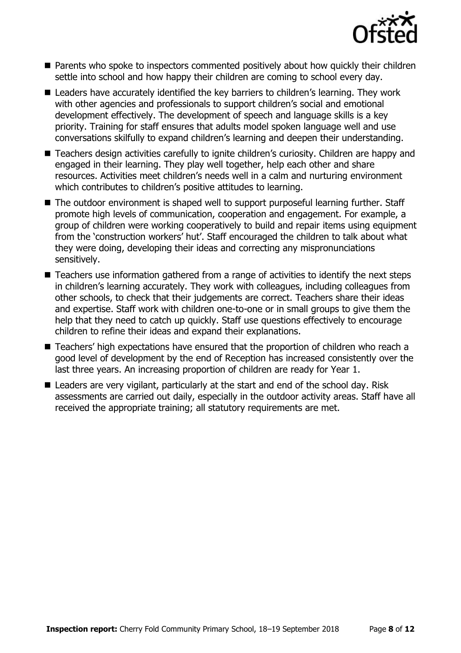

- Parents who spoke to inspectors commented positively about how quickly their children settle into school and how happy their children are coming to school every day.
- Leaders have accurately identified the key barriers to children's learning. They work with other agencies and professionals to support children's social and emotional development effectively. The development of speech and language skills is a key priority. Training for staff ensures that adults model spoken language well and use conversations skilfully to expand children's learning and deepen their understanding.
- Teachers design activities carefully to ignite children's curiosity. Children are happy and engaged in their learning. They play well together, help each other and share resources. Activities meet children's needs well in a calm and nurturing environment which contributes to children's positive attitudes to learning.
- The outdoor environment is shaped well to support purposeful learning further. Staff promote high levels of communication, cooperation and engagement. For example, a group of children were working cooperatively to build and repair items using equipment from the 'construction workers' hut'. Staff encouraged the children to talk about what they were doing, developing their ideas and correcting any mispronunciations sensitively.
- Teachers use information gathered from a range of activities to identify the next steps in children's learning accurately. They work with colleagues, including colleagues from other schools, to check that their judgements are correct. Teachers share their ideas and expertise. Staff work with children one-to-one or in small groups to give them the help that they need to catch up quickly. Staff use questions effectively to encourage children to refine their ideas and expand their explanations.
- Teachers' high expectations have ensured that the proportion of children who reach a good level of development by the end of Reception has increased consistently over the last three years. An increasing proportion of children are ready for Year 1.
- Leaders are very vigilant, particularly at the start and end of the school day. Risk assessments are carried out daily, especially in the outdoor activity areas. Staff have all received the appropriate training; all statutory requirements are met.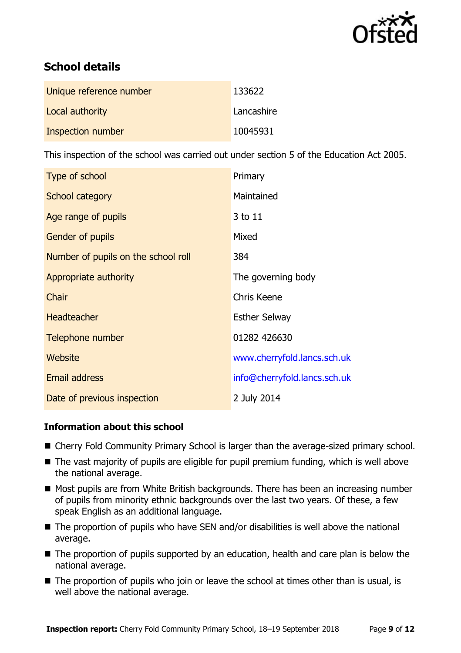

# **School details**

| Unique reference number | 133622     |
|-------------------------|------------|
| Local authority         | Lancashire |
| Inspection number       | 10045931   |

This inspection of the school was carried out under section 5 of the Education Act 2005.

| Type of school                      | Primary                      |
|-------------------------------------|------------------------------|
| School category                     | Maintained                   |
| Age range of pupils                 | 3 to 11                      |
| Gender of pupils                    | Mixed                        |
| Number of pupils on the school roll | 384                          |
| Appropriate authority               | The governing body           |
| Chair                               | <b>Chris Keene</b>           |
| <b>Headteacher</b>                  | <b>Esther Selway</b>         |
| Telephone number                    | 01282 426630                 |
| Website                             | www.cherryfold.lancs.sch.uk  |
| <b>Email address</b>                | info@cherryfold.lancs.sch.uk |
| Date of previous inspection         | 2 July 2014                  |

#### **Information about this school**

- Cherry Fold Community Primary School is larger than the average-sized primary school.
- The vast majority of pupils are eligible for pupil premium funding, which is well above the national average.
- Most pupils are from White British backgrounds. There has been an increasing number of pupils from minority ethnic backgrounds over the last two years. Of these, a few speak English as an additional language.
- The proportion of pupils who have SEN and/or disabilities is well above the national average.
- The proportion of pupils supported by an education, health and care plan is below the national average.
- The proportion of pupils who join or leave the school at times other than is usual, is well above the national average.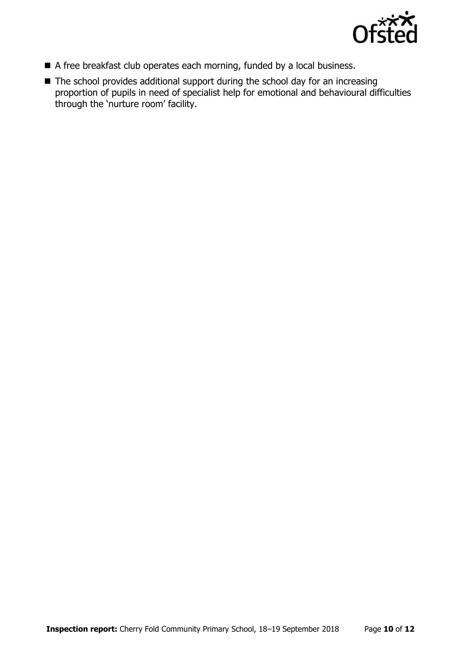

- A free breakfast club operates each morning, funded by a local business.
- The school provides additional support during the school day for an increasing proportion of pupils in need of specialist help for emotional and behavioural difficulties through the 'nurture room' facility.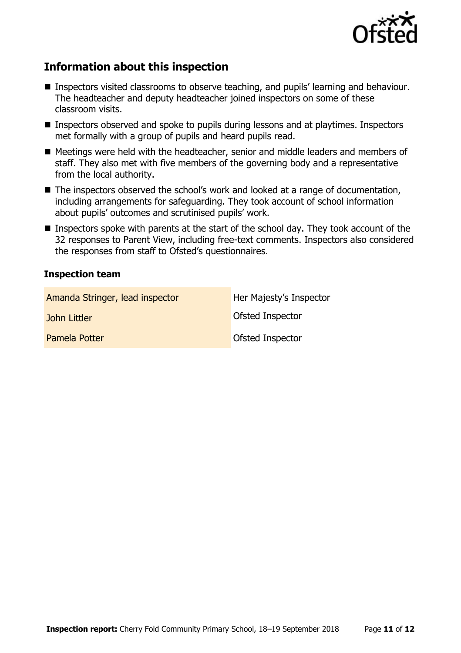

# **Information about this inspection**

- Inspectors visited classrooms to observe teaching, and pupils' learning and behaviour. The headteacher and deputy headteacher joined inspectors on some of these classroom visits.
- Inspectors observed and spoke to pupils during lessons and at playtimes. Inspectors met formally with a group of pupils and heard pupils read.
- Meetings were held with the headteacher, senior and middle leaders and members of staff. They also met with five members of the governing body and a representative from the local authority.
- The inspectors observed the school's work and looked at a range of documentation, including arrangements for safeguarding. They took account of school information about pupils' outcomes and scrutinised pupils' work.
- Inspectors spoke with parents at the start of the school day. They took account of the 32 responses to Parent View, including free-text comments. Inspectors also considered the responses from staff to Ofsted's questionnaires.

#### **Inspection team**

| Amanda Stringer, lead inspector | Her Majesty's Inspector |
|---------------------------------|-------------------------|
| John Littler                    | Ofsted Inspector        |
| Pamela Potter                   | Ofsted Inspector        |